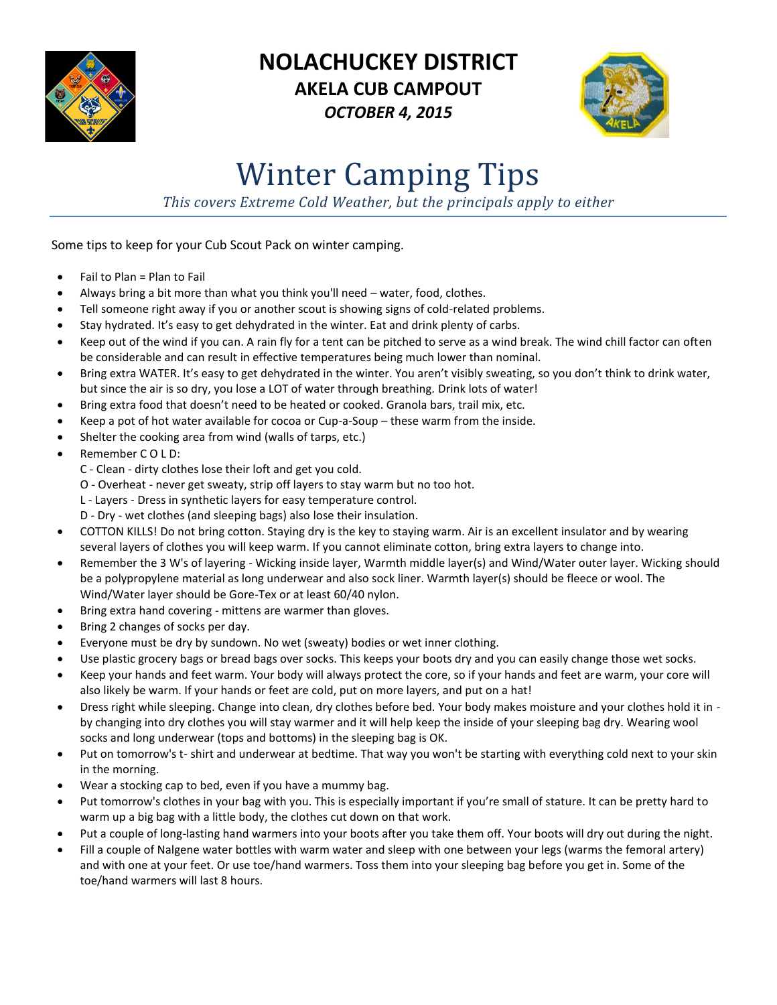

## **NOLACHUCKEY DISTRICT AKELA CUB CAMPOUT** *OCTOBER 4, 2015*



## Winter Camping Tips

*This covers Extreme Cold Weather, but the principals apply to either*

Some tips to keep for your Cub Scout Pack on winter camping.

- $\bullet$  Fail to Plan = Plan to Fail
- Always bring a bit more than what you think you'll need water, food, clothes.
- Tell someone right away if you or another scout is showing signs of cold-related problems.
- Stay hydrated. It's easy to get dehydrated in the winter. Eat and drink plenty of carbs.
- Keep out of the wind if you can. A rain fly for a tent can be pitched to serve as a wind break. The wind chill factor can often be considerable and can result in effective temperatures being much lower than nominal.
- Bring extra WATER. It's easy to get dehydrated in the winter. You aren't visibly sweating, so you don't think to drink water, but since the air is so dry, you lose a LOT of water through breathing. Drink lots of water!
- Bring extra food that doesn't need to be heated or cooked. Granola bars, trail mix, etc.
- Keep a pot of hot water available for cocoa or Cup-a-Soup these warm from the inside.
- Shelter the cooking area from wind (walls of tarps, etc.)
- Remember C O L D:
	- C Clean dirty clothes lose their loft and get you cold.
	- O Overheat never get sweaty, strip off layers to stay warm but no too hot.
	- L Layers Dress in synthetic layers for easy temperature control.
	- D Dry wet clothes (and sleeping bags) also lose their insulation.
- COTTON KILLS! Do not bring cotton. Staying dry is the key to staying warm. Air is an excellent insulator and by wearing several layers of clothes you will keep warm. If you cannot eliminate cotton, bring extra layers to change into.
- Remember the 3 W's of layering Wicking inside layer, Warmth middle layer(s) and Wind/Water outer layer. Wicking should be a polypropylene material as long underwear and also sock liner. Warmth layer(s) should be fleece or wool. The Wind/Water layer should be Gore-Tex or at least 60/40 nylon.
- Bring extra hand covering mittens are warmer than gloves.
- Bring 2 changes of socks per day.
- Everyone must be dry by sundown. No wet (sweaty) bodies or wet inner clothing.
- Use plastic grocery bags or bread bags over socks. This keeps your boots dry and you can easily change those wet socks.
- Keep your hands and feet warm. Your body will always protect the core, so if your hands and feet are warm, your core will also likely be warm. If your hands or feet are cold, put on more layers, and put on a hat!
- Dress right while sleeping. Change into clean, dry clothes before bed. Your body makes moisture and your clothes hold it in by changing into dry clothes you will stay warmer and it will help keep the inside of your sleeping bag dry. Wearing wool socks and long underwear (tops and bottoms) in the sleeping bag is OK.
- Put on tomorrow's t- shirt and underwear at bedtime. That way you won't be starting with everything cold next to your skin in the morning.
- Wear a stocking cap to bed, even if you have a mummy bag.
- Put tomorrow's clothes in your bag with you. This is especially important if you're small of stature. It can be pretty hard to warm up a big bag with a little body, the clothes cut down on that work.
- Put a couple of long-lasting hand warmers into your boots after you take them off. Your boots will dry out during the night.
- Fill a couple of Nalgene water bottles with warm water and sleep with one between your legs (warms the femoral artery) and with one at your feet. Or use toe/hand warmers. Toss them into your sleeping bag before you get in. Some of the toe/hand warmers will last 8 hours.